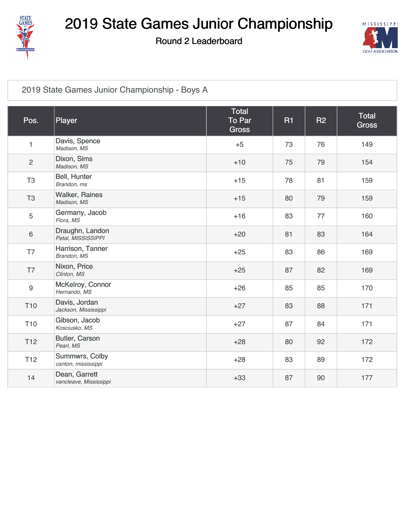

Round 2 Leaderboard



#### [2019 State Games Junior Championship - Boys A](https://cdn2.golfgenius.com/v2tournaments/1363227)

| Pos.            | Player                                  | Total<br><b>To Par</b><br><b>Gross</b> | <b>R1</b> | <b>R2</b> | <b>Total</b><br><b>Gross</b> |
|-----------------|-----------------------------------------|----------------------------------------|-----------|-----------|------------------------------|
| $\mathbf{1}$    | Davis, Spence<br>Madison, MS            | $+5$                                   | 73        | 76        | 149                          |
| $\overline{c}$  | Dixon, Sims<br>Madison, MS              | $+10$                                  | 75        | 79        | 154                          |
| T <sub>3</sub>  | Bell, Hunter<br>Brandon, ms             | $+15$                                  | 78        | 81        | 159                          |
| T <sub>3</sub>  | <b>Walker, Raines</b><br>Madison, MS    | $+15$                                  | 80        | 79        | 159                          |
| 5               | Germany, Jacob<br>Flora, MS             | $+16$                                  | 83        | 77        | 160                          |
| $\,6\,$         | Draughn, Landon<br>Petal, MISSISSIPPI   | $+20$                                  | 81        | 83        | 164                          |
| T7              | Harrison, Tanner<br>Brandon, MS         | $+25$                                  | 83        | 86        | 169                          |
| T7              | Nixon, Price<br>Clinton, MS             | $+25$                                  | 87        | 82        | 169                          |
| $9\,$           | McKelroy, Connor<br>Hernando, MS        | $+26$                                  | 85        | 85        | 170                          |
| T <sub>10</sub> | Davis, Jordan<br>Jackson, Mississippi   | $+27$                                  | 83        | 88        | 171                          |
| T <sub>10</sub> | Gibson, Jacob<br>Kosciusko, MS          | $+27$                                  | 87        | 84        | 171                          |
| T <sub>12</sub> | Butler, Carson<br>Pearl, MS             | $+28$                                  | 80        | 92        | 172                          |
| T <sub>12</sub> | Summwrs, Colby<br>canton, mississippi   | $+28$                                  | 83        | 89        | 172                          |
| 14              | Dean, Garrett<br>vancleave, Mississippi | $+33$                                  | 87        | 90        | 177                          |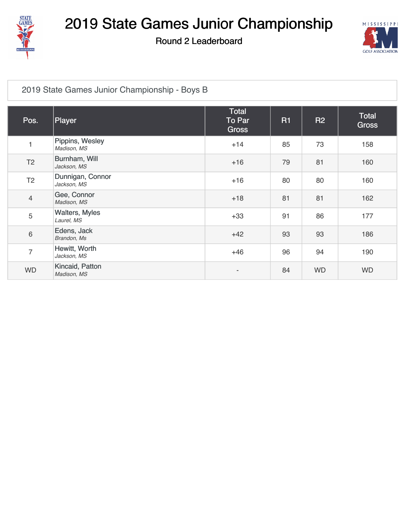

Round 2 Leaderboard



#### [2019 State Games Junior Championship - Boys B](https://cdn2.golfgenius.com/v2tournaments/1363224)

| Pos.           | Player                              | <b>Total</b><br>To Par<br><b>Gross</b> | <b>R1</b> | <b>R2</b> | <b>Total</b><br><b>Gross</b> |
|----------------|-------------------------------------|----------------------------------------|-----------|-----------|------------------------------|
| 1              | Pippins, Wesley<br>Madison, MS      | $+14$                                  | 85        | 73        | 158                          |
| T <sub>2</sub> | Burnham, Will<br>Jackson, MS        | $+16$                                  | 79        | 81        | 160                          |
| T <sub>2</sub> | Dunnigan, Connor<br>Jackson, MS     | $+16$                                  | 80        | 80        | 160                          |
| $\overline{4}$ | Gee, Connor<br>Madison, MS          | $+18$                                  | 81        | 81        | 162                          |
| 5              | <b>Walters, Myles</b><br>Laurel, MS | $+33$                                  | 91        | 86        | 177                          |
| $\,6\,$        | Edens, Jack<br>Brandon, Ms          | $+42$                                  | 93        | 93        | 186                          |
| $\overline{7}$ | Hewitt, Worth<br>Jackson, MS        | $+46$                                  | 96        | 94        | 190                          |
| <b>WD</b>      | Kincaid, Patton<br>Madison, MS      |                                        | 84        | <b>WD</b> | <b>WD</b>                    |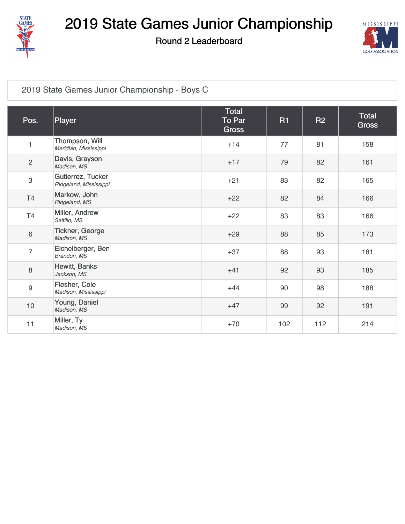

Round 2 Leaderboard



#### [2019 State Games Junior Championship - Boys C](https://cdn2.golfgenius.com/v2tournaments/1363221)

| Pos.           | Player                                      | Total<br>To Par<br><b>Gross</b> | <b>R1</b> | <b>R2</b> | Total<br><b>Gross</b> |
|----------------|---------------------------------------------|---------------------------------|-----------|-----------|-----------------------|
| $\mathbf{1}$   | Thompson, Will<br>Meridian, Mississippi     | $+14$                           | 77        | 81        | 158                   |
| $\overline{2}$ | Davis, Grayson<br>Madison, MS               | $+17$                           | 79        | 82        | 161                   |
| 3              | Gutierrez, Tucker<br>Ridgeland, Mississippi | $+21$                           | 83        | 82        | 165                   |
| T <sub>4</sub> | Markow, John<br>Ridgeland, MS               | $+22$                           | 82        | 84        | 166                   |
| T <sub>4</sub> | Miller, Andrew<br>Saltillo, MS              | $+22$                           | 83        | 83        | 166                   |
| 6              | Tickner, George<br>Madison, MS              | $+29$                           | 88        | 85        | 173                   |
| $\overline{7}$ | Eichelberger, Ben<br>Brandon, MS            | $+37$                           | 88        | 93        | 181                   |
| 8              | Hewitt, Banks<br>Jackson, MS                | $+41$                           | 92        | 93        | 185                   |
| 9              | Flesher, Cole<br>Madison, Mississippi       | $+44$                           | 90        | 98        | 188                   |
| $10$           | Young, Daniel<br>Madison, MS                | $+47$                           | 99        | 92        | 191                   |
| 11             | Miller, Ty<br>Madison, MS                   | $+70$                           | 102       | 112       | 214                   |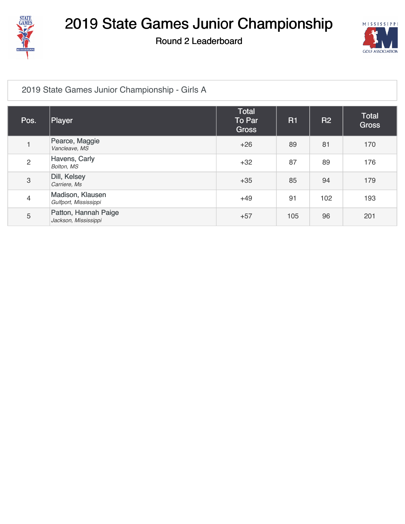

Round 2 Leaderboard



#### [2019 State Games Junior Championship - Girls A](https://cdn2.golfgenius.com/v2tournaments/1363212)

| Pos.                      | Player                                       | Total<br>To Par<br><b>Gross</b> | R1  | <b>R2</b> | <b>Total</b><br><b>Gross</b> |
|---------------------------|----------------------------------------------|---------------------------------|-----|-----------|------------------------------|
|                           | Pearce, Maggie<br>Vancleave, MS              | $+26$                           | 89  | 81        | 170                          |
| $\overline{2}$            | Havens, Carly<br>Bolton, MS                  | $+32$                           | 87  | 89        | 176                          |
| $\ensuremath{\mathsf{3}}$ | Dill, Kelsey<br>Carriere, Ms                 | $+35$                           | 85  | 94        | 179                          |
| $\overline{4}$            | Madison, Klausen<br>Gulfport, Mississippi    | $+49$                           | 91  | 102       | 193                          |
| 5                         | Patton, Hannah Paige<br>Jackson, Mississippi | $+57$                           | 105 | 96        | 201                          |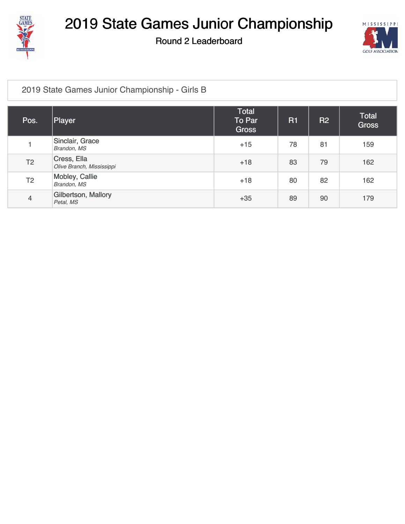

Round 2 Leaderboard



#### [2019 State Games Junior Championship - Girls B](https://cdn2.golfgenius.com/v2tournaments/1363209)

| Pos.           | Player                                   | Total<br>To Par<br><b>Gross</b> | <b>R1</b> | <b>R2</b> | Total<br><b>Gross</b> |
|----------------|------------------------------------------|---------------------------------|-----------|-----------|-----------------------|
|                | Sinclair, Grace<br>Brandon, MS           | $+15$                           | 78        | 81        | 159                   |
| T <sub>2</sub> | Cress, Ella<br>Olive Branch, Mississippi | $+18$                           | 83        | 79        | 162                   |
| T <sub>2</sub> | Mobley, Callie<br>Brandon, MS            | $+18$                           | 80        | 82        | 162                   |
| $\overline{4}$ | Gilbertson, Mallory<br>Petal, MS         | $+35$                           | 89        | 90        | 179                   |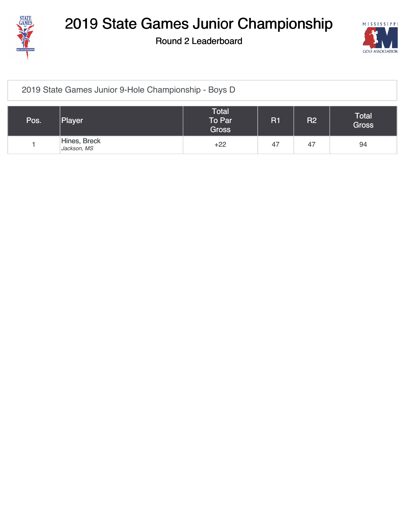

Round 2 Leaderboard



#### [2019 State Games Junior 9-Hole Championship - Boys D](https://cdn2.golfgenius.com/v2tournaments/1367765)

| Pos. | Player                      | Total<br>To Par<br><b>Gross</b> | <b>R1</b> | R <sub>2</sub> | <b>Total</b><br><b>Gross</b> |
|------|-----------------------------|---------------------------------|-----------|----------------|------------------------------|
|      | Hines, Breck<br>Jackson, MS | $+22$                           | 47        | 47             | 94                           |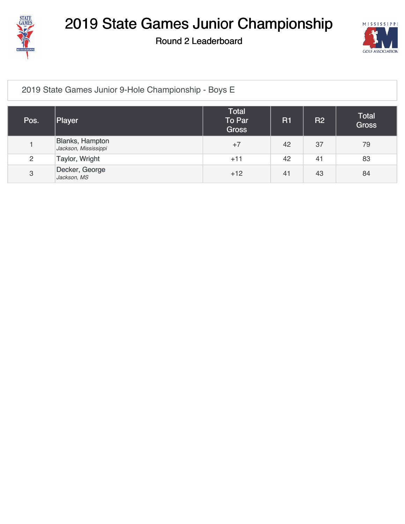

Round 2 Leaderboard



#### [2019 State Games Junior 9-Hole Championship - Boys E](https://cdn2.golfgenius.com/v2tournaments/1367762)

| Pos.           | Player                                  | Total<br>To Par<br><b>Gross</b> | <b>R1</b> | <b>R2</b> | <b>Total</b><br><b>Gross</b> |
|----------------|-----------------------------------------|---------------------------------|-----------|-----------|------------------------------|
|                | Blanks, Hampton<br>Jackson, Mississippi | $+7$                            | 42        | 37        | 79                           |
| $\overline{c}$ | Taylor, Wright                          | $+11$                           | 42        | 41        | 83                           |
| 3              | Decker, George<br>Jackson, MS           | $+12$                           | 41        | 43        | 84                           |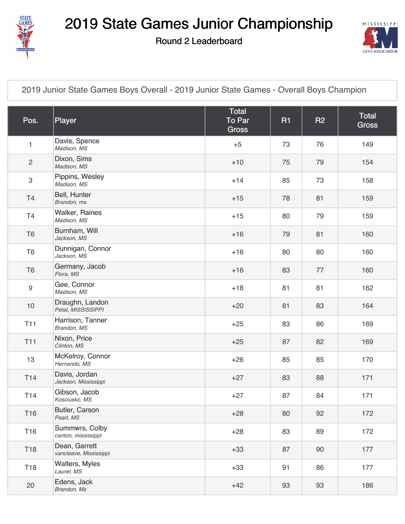

Round 2 Leaderboard



[2019 Junior State Games Boys Overall - 2019 Junior State Games - Overall Boys Champion](https://cdn2.golfgenius.com/v2tournaments/1368733)

| Pos.             | Player                                  | Total<br><b>To Par</b><br><b>Gross</b> | <b>R1</b> | <b>R2</b> | Total<br><b>Gross</b> |
|------------------|-----------------------------------------|----------------------------------------|-----------|-----------|-----------------------|
| 1                | Davis, Spence<br>Madison, MS            | $+5$                                   | 73        | 76        | 149                   |
| $\overline{c}$   | Dixon, Sims<br>Madison, MS              | $+10$                                  | 75        | 79        | 154                   |
| 3                | Pippins, Wesley<br>Madison, MS          | $+14$                                  | 85        | 73        | 158                   |
| T <sub>4</sub>   | Bell, Hunter<br>Brandon, ms             | $+15$                                  | 78        | 81        | 159                   |
| T4               | <b>Walker, Raines</b><br>Madison, MS    | $+15$                                  | 80        | 79        | 159                   |
| T <sub>6</sub>   | Burnham, Will<br>Jackson, MS            | $+16$                                  | 79        | 81        | 160                   |
| T <sub>6</sub>   | Dunnigan, Connor<br>Jackson, MS         | $+16$                                  | 80        | 80        | 160                   |
| T <sub>6</sub>   | Germany, Jacob<br>Flora, MS             | $+16$                                  | 83        | 77        | 160                   |
| $\boldsymbol{9}$ | Gee, Connor<br>Madison, MS              | $+18$                                  | 81        | 81        | 162                   |
| 10               | Draughn, Landon<br>Petal, MISSISSIPPI   | $+20$                                  | 81        | 83        | 164                   |
| T <sub>11</sub>  | Harrison, Tanner<br>Brandon, MS         | $+25$                                  | 83        | 86        | 169                   |
| <b>T11</b>       | Nixon, Price<br>Clinton, MS             | $+25$                                  | 87        | 82        | 169                   |
| 13               | McKelroy, Connor<br>Hernando, MS        | $+26$                                  | 85        | 85        | 170                   |
| T <sub>14</sub>  | Davis, Jordan<br>Jackson, Mississippi   | $+27$                                  | 83        | 88        | 171                   |
| T14              | Gibson, Jacob<br>Kosciusko, MS          | $+27$                                  | 87        | 84        | 171                   |
| T16              | Butler, Carson<br>Pearl, MS             | $+28$                                  | 80        | 92        | 172                   |
| T16              | Summwrs, Colby<br>canton, mississippi   | $+28$                                  | 83        | 89        | 172                   |
| T18              | Dean, Garrett<br>vancleave, Mississippi | $+33$                                  | 87        | 90        | 177                   |
| T18              | <b>Walters, Myles</b><br>Laurel, MS     | $+33$                                  | 91        | 86        | 177                   |
| 20               | Edens, Jack<br>Brandon, Ms              | $+42$                                  | 93        | 93        | 186                   |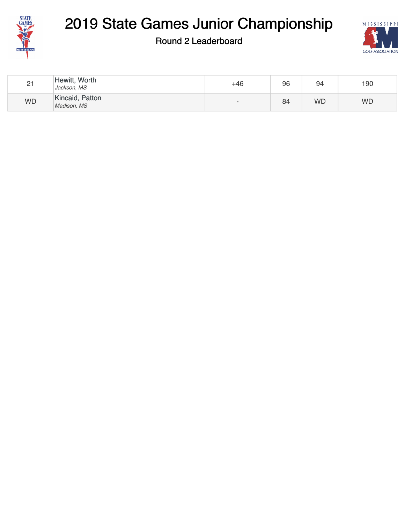

### Round 2 Leaderboard



| 21        | Hewitt, Worth<br>Jackson, MS   | +46                      | 96 | 94        | 190       |
|-----------|--------------------------------|--------------------------|----|-----------|-----------|
| <b>WD</b> | Kincaid, Patton<br>Madison, MS | $\overline{\phantom{0}}$ | 84 | <b>WD</b> | <b>WD</b> |